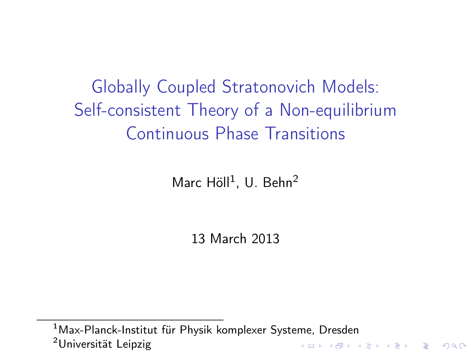Globally Coupled Stratonovich Models: Self-consistent Theory of a Non-equilibrium Continuous Phase Transitions

Marc Höll<sup>1</sup>, U. Behn<sup>2</sup>

13 March 2013

<sup>1</sup>Max-Planck-Institut für Physik komplexer Systeme, Dresden <sup>2</sup>Universität Leipzig**K ロ ▶ K 御 ▶ K 重 ▶ K 重 ▶ 「重 」 の Q Q <**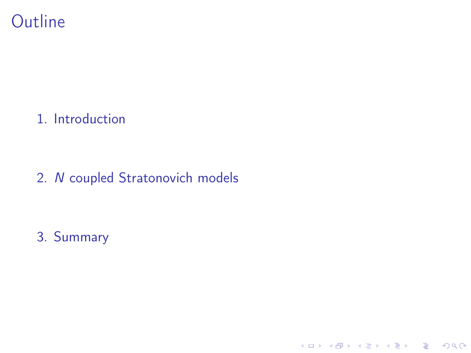### **Outline**

[1. Introduction](#page-2-0)

2. N [coupled Stratonovich models](#page-5-0)

K ロ ▶ K 레 ▶ K 레 ▶ K 레 ≯ K 게 회 게 이 및 사 이 의 O

[3. Summary](#page-19-0)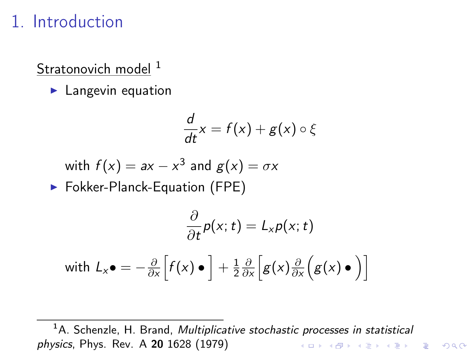#### 1. Introduction

Stratonovich model <sup>1</sup>

 $\blacktriangleright$  Langevin equation

$$
\frac{d}{dt}x = f(x) + g(x) \circ \xi
$$

with 
$$
f(x) = ax - x^3
$$
 and  $g(x) = \sigma x$ 

▶ Fokker-Planck-Equation (FPE)

$$
\frac{\partial}{\partial t}p(x;t) = L_x p(x;t)
$$
\nwith  $L_x \bullet = -\frac{\partial}{\partial x} \Big[ f(x) \bullet \Big] + \frac{1}{2} \frac{\partial}{\partial x} \Big[ g(x) \frac{\partial}{\partial x} \Big( g(x) \bullet \Big) \Big]$ 

<span id="page-2-0"></span> $<sup>1</sup>A$ . Schenzle, H. Brand, *Multiplicative stochastic processes in statistical*</sup> physics, Phys. Rev. A 20 1628 (1979)K ロ ▶ K @ ▶ K 할 > K 할 > 1 할 > 1 ⊙ Q Q ^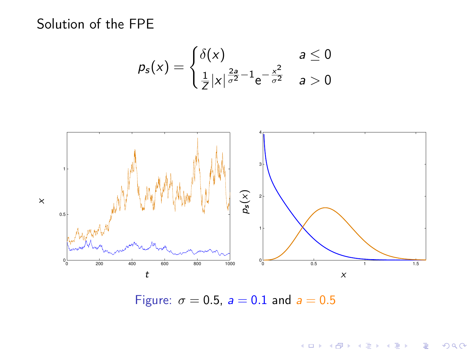Solution of the FPE

$$
p_{s}(x)=\begin{cases} \delta(x) & a \leq 0\\ \frac{1}{Z}|x|^{\frac{2a}{\sigma^2}-1}e^{-\frac{x^2}{\sigma^2}} & a > 0 \end{cases}
$$

÷.



Figure:  $\sigma = 0.5$ ,  $a = 0.1$  and  $a = 0.5$ 

メロト メタト メミト メミト

 $290$ 

ă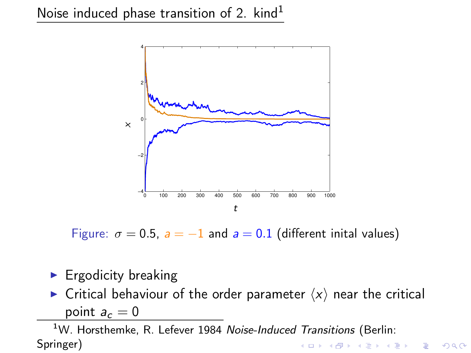

Figure:  $\sigma = 0.5$ ,  $a = -1$  and  $a = 0.1$  (different inital values)

#### $\blacktriangleright$  Ergodicity breaking

 $\triangleright$  Critical behaviour of the order parameter  $\langle x \rangle$  near the critical point  $a_c = 0$ 

 $1$ W. Horsthemke, R. Lefever 1984 Noise-Induced Transitions (Berlin: Springer)KEL KARIK KEL KEL KARIK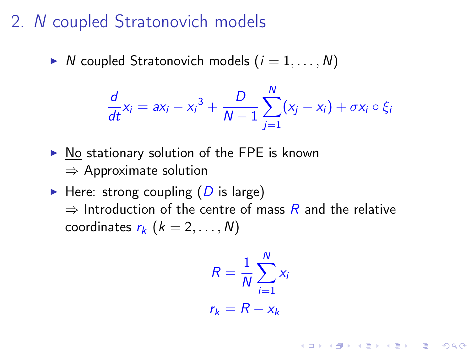### 2. N coupled Stratonovich models

 $\triangleright$  N coupled Stratonovich models  $(i = 1, \ldots, N)$ 

$$
\frac{d}{dt}x_i = ax_i - x_i^3 + \frac{D}{N-1}\sum_{j=1}^N(x_j - x_i) + \sigma x_i \circ \xi_i
$$

- $\triangleright$  No stationary solution of the FPE is known  $\Rightarrow$  Approximate solution
- <span id="page-5-0"></span>Here: strong coupling  $(D$  is large)  $\Rightarrow$  Introduction of the centre of mass R and the relative coordinates  $r_k$   $(k = 2, \ldots, N)$

$$
R = \frac{1}{N} \sum_{i=1}^{N} x_i
$$

$$
r_k = R - x_k
$$

**A O A Y A P A P A P A SHOP**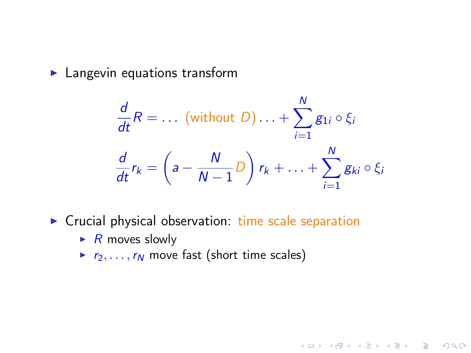$\blacktriangleright$  Langevin equations transform

$$
\frac{d}{dt}R = \dots \text{ (without } D) \dots + \sum_{i=1}^{N} g_{1i} \circ \xi_i
$$
\n
$$
\frac{d}{dt}r_k = \left(a - \frac{N}{N-1}D\right)r_k + \dots + \sum_{i=1}^{N} g_{ki} \circ \xi_i
$$

- $\triangleright$  Crucial physical observation: time scale separation
	- $\triangleright$  R moves slowly
	- $r_2, \ldots, r_N$  move fast (short time scales)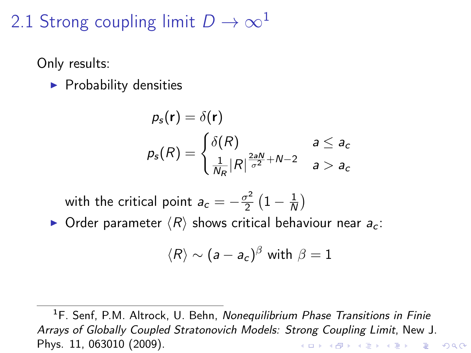## 2.1 Strong coupling limit  $D \to \infty$ <sup>1</sup>

Only results:

 $\blacktriangleright$  Probability densities

$$
p_{s}(\mathbf{r}) = \delta(\mathbf{r})
$$
  
\n
$$
p_{s}(R) = \begin{cases} \delta(R) & a \leq a_{c} \\ \frac{1}{N_{R}} |R|^{\frac{2aN}{\sigma^{2}} + N - 2} & a > a_{c} \end{cases}
$$

with the critical point  $a_c=-\frac{\sigma^2}{2}$  $\frac{\sigma^2}{2}\left(1-\frac{1}{\Lambda}\right)$  $\frac{1}{N}$ 

 $\triangleright$  Order parameter  $\langle R \rangle$  shows critical behaviour near  $a_c$ :

$$
\langle R \rangle \sim (a-a_c)^\beta \text{ with } \beta=1
$$

<sup>1</sup>F. Senf, P.M. Altrock, U. Behn, Nonequilibrium Phase Transitions in Finie Arrays of Globally Coupled Stratonovich Models: Strong Coupling Limit, New J. Phys. 11, 063010 (2009).**KOD KARD KED KED E VOOR**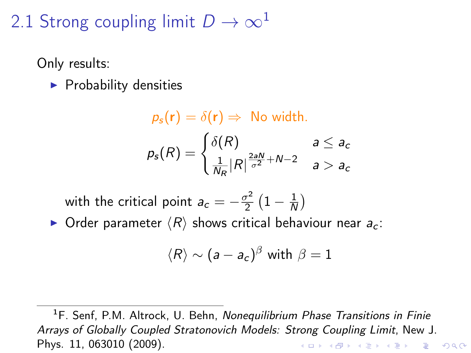## 2.1 Strong coupling limit  $D \to \infty$ <sup>1</sup>

Only results:

 $\blacktriangleright$  Probability densities

$$
p_s(\mathbf{r}) = \delta(\mathbf{r}) \Rightarrow \text{ No width.}
$$
  

$$
p_s(R) = \begin{cases} \delta(R) & a \le a_c \\ \frac{1}{N_R} |R|^{\frac{2aN}{\sigma^2} + N - 2} & a > a_c \end{cases}
$$

with the critical point  $a_c=-\frac{\sigma^2}{2}$  $\frac{\sigma^2}{2}\left(1-\frac{1}{\Lambda}\right)$  $\frac{1}{N}$ 

 $\triangleright$  Order parameter  $\langle R \rangle$  shows critical behaviour near  $a_c$ :

$$
\langle R \rangle \sim (a-a_c)^\beta \text{ with } \beta=1
$$

<sup>1</sup>F. Senf, P.M. Altrock, U. Behn, Nonequilibrium Phase Transitions in Finie Arrays of Globally Coupled Stratonovich Models: Strong Coupling Limit, New J. Phys. 11, 063010 (2009).**KOD KARD KED KED E VOOR**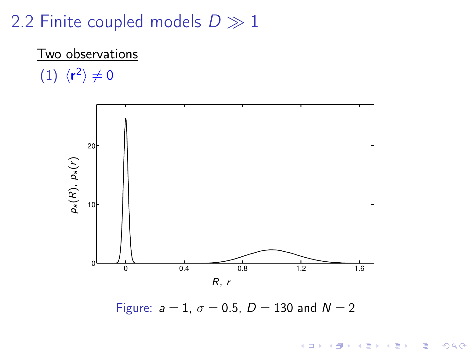### 2.2 Finite coupled models  $D \gg 1$

# Two observations

 $(1) \langle r^2 \rangle \neq 0$ 



Figure:  $a = 1$ ,  $\sigma = 0.5$ ,  $D = 130$  and  $N = 2$ 

K ロ > K @ > K 할 > K 할 > → 할 → ⊙ Q @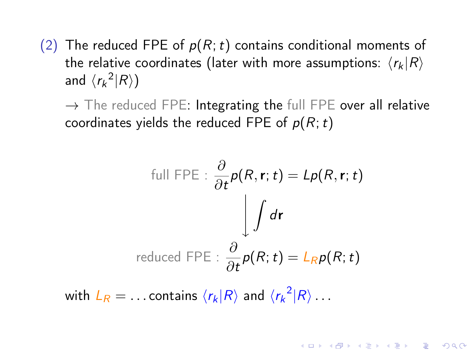(2) The reduced FPE of  $p(R; t)$  contains conditional moments of the relative coordinates (later with more assumptions:  $\langle r_k | R \rangle$ and  $\langle r_k^2 | R \rangle$ )

 $\rightarrow$  The reduced FPE: Integrating the full FPE over all relative coordinates yields the reduced FPE of  $p(R; t)$ 

full FPE : 
$$
\frac{\partial}{\partial t} p(R, \mathbf{r}; t) = Lp(R, \mathbf{r}; t)
$$
  
\n
$$
\int d\mathbf{r}
$$
\nreduced FPE :  $\frac{\partial}{\partial t} p(R; t) = L_R p(R; t)$ 

**A O A Y A P A P A P A SHOP** 

with  $L_R = \ldots$  contains  $\langle r_k | R \rangle$  and  $\langle {r_k}^2 | R \rangle \ldots$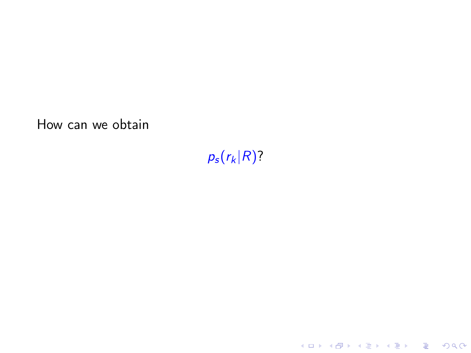How can we obtain

 $p_s(r_k|R)$ ?

K ロ ▶ K @ ▶ K 할 ▶ K 할 ▶ | 할 | 2000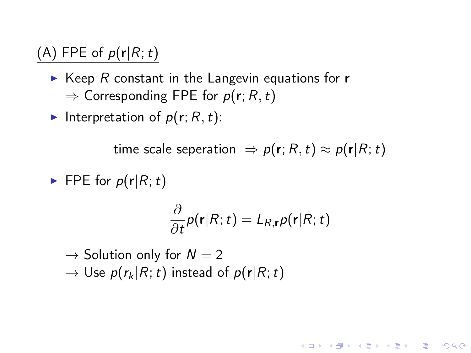#### (A) FPE of  $p(r|R;t)$

- $\triangleright$  Keep R constant in the Langevin equations for **r**  $\Rightarrow$  Corresponding FPE for  $p(\mathbf{r}; R, t)$
- Interpretation of  $p(r; R, t)$ :

time scale seperation  $\Rightarrow p(\mathbf{r}; R, t) \approx p(\mathbf{r}|R; t)$ 

FPE for  $p(\mathbf{r}|R;t)$ 

$$
\frac{\partial}{\partial t}p(\mathbf{r}|R;t)=L_{R,\mathbf{r}}p(\mathbf{r}|R;t)
$$

**KORK EX KEY KEY YOUR** 

 $\rightarrow$  Solution only for  $N = 2$  $\rightarrow$  Use  $p(r_k | R; t)$  instead of  $p(r | R; t)$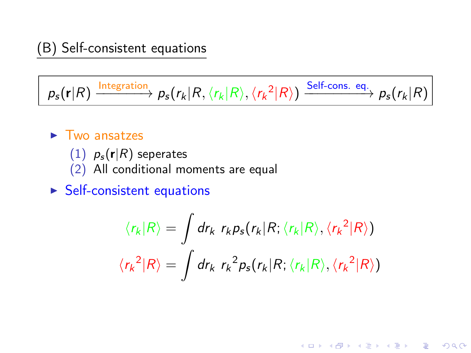$$
p_s(\mathbf{r}|R) \xrightarrow{\text{Integration}} p_s(r_k|R, \langle r_k|R \rangle, \langle r_k^2|R \rangle) \xrightarrow{\text{Self-cons. eq.}} p_s(r_k|R)
$$

- $\blacktriangleright$  Two ansatzes
	- (1)  $p_s(r|R)$  seperates
	- (2) All conditional moments are equal
- $\blacktriangleright$  Self-consistent equations

$$
\langle r_k | R \rangle = \int dr_k \ r_k p_s(r_k | R; \langle r_k | R \rangle, \langle r_k^2 | R \rangle)
$$

$$
\langle r_k^2 | R \rangle = \int dr_k \ r_k^2 p_s(r_k | R; \langle r_k | R \rangle, \langle r_k^2 | R \rangle)
$$

K ロ ▶ K 레 ▶ K 레 ▶ K 레 ≯ K 게 회 게 이 및 사 이 의 O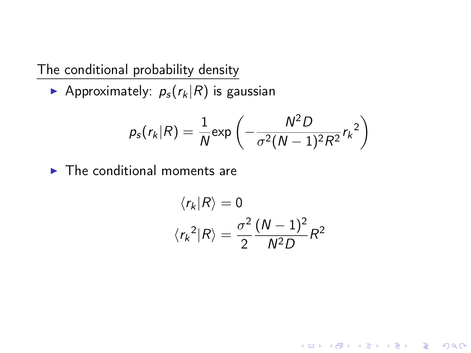The conditional probability density

Approximately:  $p_s(r_k|R)$  is gaussian

$$
p_s(r_k|R) = \frac{1}{N} \exp\left(-\frac{N^2D}{\sigma^2(N-1)^2R^2}r_k^2\right)
$$

 $\blacktriangleright$  The conditional moments are

$$
\langle r_k | R \rangle = 0
$$

$$
\langle r_k^2 | R \rangle = \frac{\sigma^2}{2} \frac{(N-1)^2}{N^2 D} R^2
$$

K □ ▶ K @ ▶ K 할 ▶ K 할 ▶ | 할 | K 9 Q @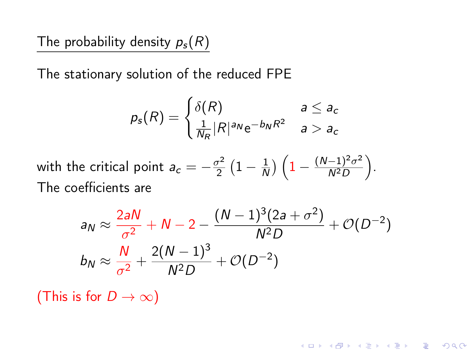The probability density  $p_s(R)$ 

The stationary solution of the reduced FPE

$$
p_{s}(R) = \begin{cases} \delta(R) & a \leq a_{c} \\ \frac{1}{N_{R}} |R|^{a_{N}} e^{-b_{N} R^{2}} & a > a_{c} \end{cases}
$$

with the critical point  $a_c=-\frac{\sigma^2}{2}$  $\frac{\tau^2}{2} (1 - \frac{1}{\Lambda})$  $\frac{1}{N} \big) \left( 1 - \frac{(N-1)^2 \sigma^2}{N^2 D} \right)$  $\frac{(-1)^2\sigma^2}{N^2D}\bigg).$ The coefficients are

$$
a_N \approx \frac{2aN}{\sigma^2} + N - 2 - \frac{(N-1)^3(2a + \sigma^2)}{N^2D} + \mathcal{O}(D^{-2})
$$
  

$$
b_N \approx \frac{N}{\sigma^2} + \frac{2(N-1)^3}{N^2D} + \mathcal{O}(D^{-2})
$$

**KORK EX KEY KEY YOUR** 

(This is for  $D \to \infty$ )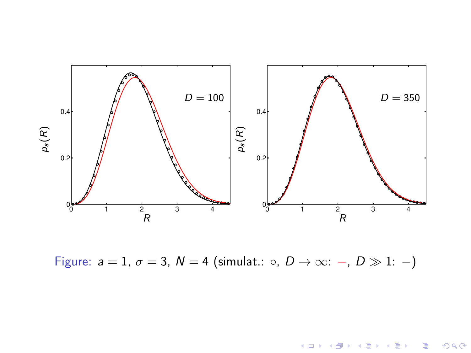

Figure:  $a = 1$ ,  $\sigma = 3$ ,  $N = 4$  (simulat.:  $\circ$ ,  $D \rightarrow \infty$ : -,  $D \gg 1$ : -)

メロト メタト メミト メミト

È

 $299$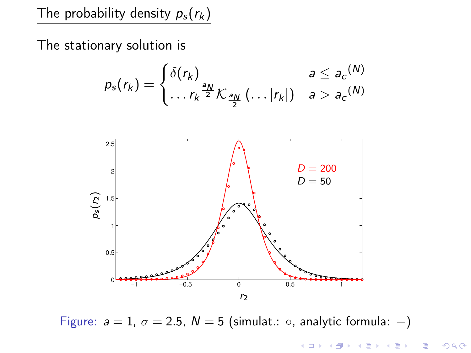The probability density  $p_s(r_k)$ 

The stationary solution is

$$
p_{s}(r_{k}) = \begin{cases} \delta(r_{k}) & a \leq a_{c}(N) \\ \ldots r_{k}^{\frac{a_{N}}{2}} K_{\frac{a_{N}}{2}}(\ldots |r_{k}|) & a > a_{c}(N) \end{cases}
$$



Figure:  $a = 1$ ,  $\sigma = 2.5$ ,  $N = 5$  (simulat.: ○, analytic formula: -)

メロメ メ都 メメ きょうくぼん 重  $299$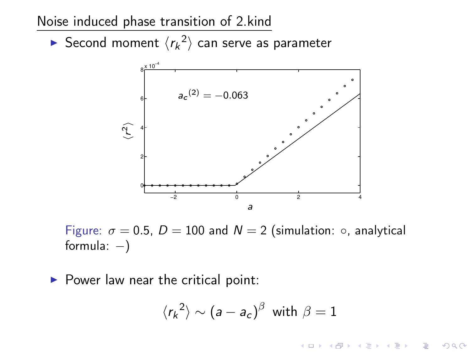Noise induced phase transition of 2.kind

 $\blacktriangleright$  Second moment  $\langle r_k^2 \rangle$  can serve as parameter



Figure:  $\sigma = 0.5$ ,  $D = 100$  and  $N = 2$  (simulation:  $\circ$ , analytical formula:  $-$ )

 $\triangleright$  Power law near the critical point:

$$
\langle {r_k}^2 \rangle \sim (a-a_c)^\beta \text{ with } \beta=1
$$

 $2990$